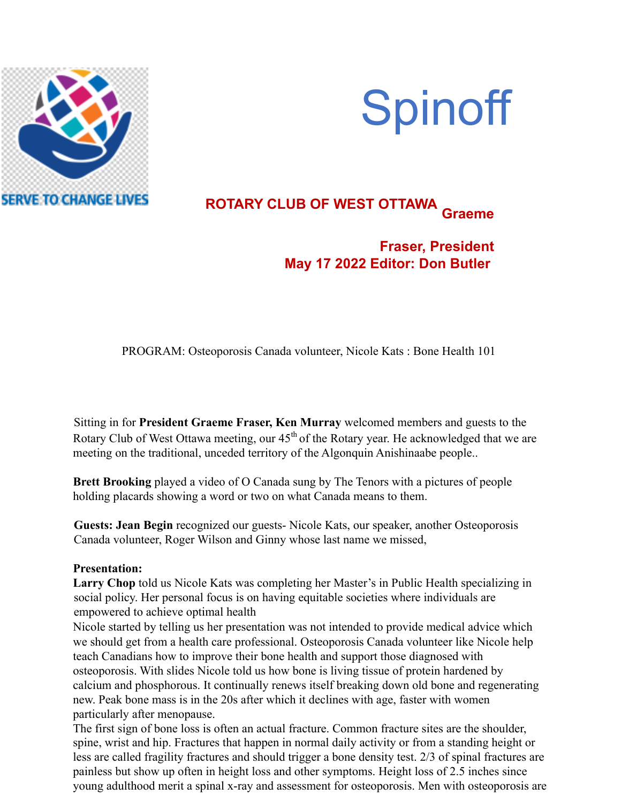

# **Spinoff**

## **ROTARY CLUB OF WEST OTTAWA Graeme**

### **Fraser, President May 17 2022 Editor: Don Butler**

PROGRAM: Osteoporosis Canada volunteer, Nicole Kats : Bone Health 101

Sitting in for **President Graeme Fraser, Ken Murray** welcomed members and guests to the Rotary Club of West Ottawa meeting, our 45<sup>th</sup> of the Rotary year. He acknowledged that we are meeting on the traditional, unceded territory of the Algonquin Anishinaabe people..

**Brett Brooking** played a video of O Canada sung by The Tenors with a pictures of people holding placards showing a word or two on what Canada means to them.

**Guests: Jean Begin** recognized our guests- Nicole Kats, our speaker, another Osteoporosis Canada volunteer, Roger Wilson and Ginny whose last name we missed,

#### **Presentation:**

**Larry Chop** told us Nicole Kats was completing her Master's in Public Health specializing in social policy. Her personal focus is on having equitable societies where individuals are empowered to achieve optimal health

Nicole started by telling us her presentation was not intended to provide medical advice which we should get from a health care professional. Osteoporosis Canada volunteer like Nicole help teach Canadians how to improve their bone health and support those diagnosed with osteoporosis. With slides Nicole told us how bone is living tissue of protein hardened by calcium and phosphorous. It continually renews itself breaking down old bone and regenerating new. Peak bone mass is in the 20s after which it declines with age, faster with women particularly after menopause.

The first sign of bone loss is often an actual fracture. Common fracture sites are the shoulder, spine, wrist and hip. Fractures that happen in normal daily activity or from a standing height or less are called fragility fractures and should trigger a bone density test. 2/3 of spinal fractures are painless but show up often in height loss and other symptoms. Height loss of 2.5 inches since young adulthood merit a spinal x-ray and assessment for osteoporosis. Men with osteoporosis are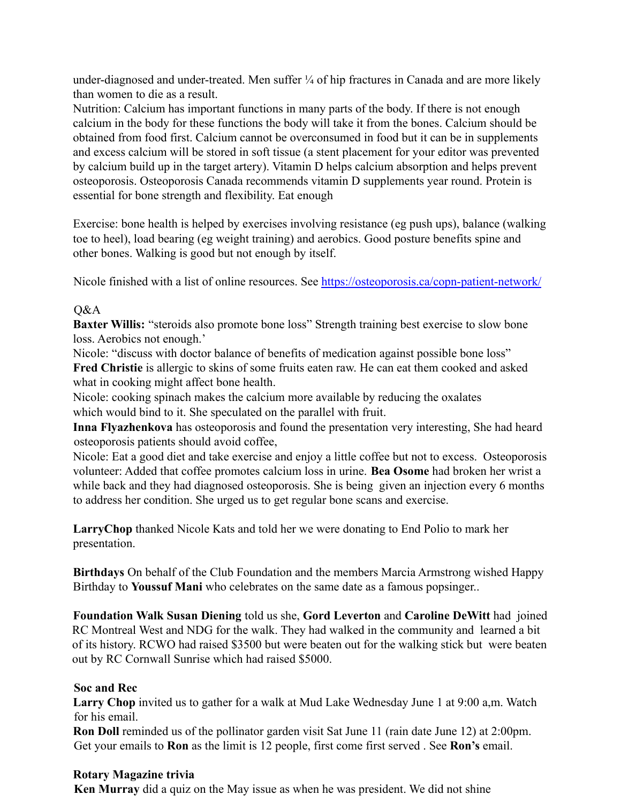under-diagnosed and under-treated. Men suffer  $\frac{1}{4}$  of hip fractures in Canada and are more likely than women to die as a result.

Nutrition: Calcium has important functions in many parts of the body. If there is not enough calcium in the body for these functions the body will take it from the bones. Calcium should be obtained from food first. Calcium cannot be overconsumed in food but it can be in supplements and excess calcium will be stored in soft tissue (a stent placement for your editor was prevented by calcium build up in the target artery). Vitamin D helps calcium absorption and helps prevent osteoporosis. Osteoporosis Canada recommends vitamin D supplements year round. Protein is essential for bone strength and flexibility. Eat enough

Exercise: bone health is helped by exercises involving resistance (eg push ups), balance (walking toe to heel), load bearing (eg weight training) and aerobics. Good posture benefits spine and other bones. Walking is good but not enough by itself.

Nicole finished with a list of online resources. See https://osteoporosis.ca/copn-patient-network/

#### $O&A$

**Baxter Willis:** "steroids also promote bone loss" Strength training best exercise to slow bone loss. Aerobics not enough.'

Nicole: "discuss with doctor balance of benefits of medication against possible bone loss" **Fred Christie** is allergic to skins of some fruits eaten raw. He can eat them cooked and asked what in cooking might affect bone health.

Nicole: cooking spinach makes the calcium more available by reducing the oxalates which would bind to it. She speculated on the parallel with fruit.

**Inna Flyazhenkova** has osteoporosis and found the presentation very interesting, She had heard osteoporosis patients should avoid coffee,

Nicole: Eat a good diet and take exercise and enjoy a little coffee but not to excess. Osteoporosis volunteer: Added that coffee promotes calcium loss in urine. **Bea Osome** had broken her wrist a while back and they had diagnosed osteoporosis. She is being given an injection every 6 months to address her condition. She urged us to get regular bone scans and exercise.

**LarryChop** thanked Nicole Kats and told her we were donating to End Polio to mark her presentation.

**Birthdays** On behalf of the Club Foundation and the members Marcia Armstrong wished Happy Birthday to **Youssuf Mani** who celebrates on the same date as a famous popsinger..

**Foundation Walk Susan Diening** told us she, **Gord Leverton** and **Caroline DeWitt** had joined RC Montreal West and NDG for the walk. They had walked in the community and learned a bit of its history. RCWO had raised \$3500 but were beaten out for the walking stick but were beaten out by RC Cornwall Sunrise which had raised \$5000.

#### **Soc and Rec**

**Larry Chop** invited us to gather for a walk at Mud Lake Wednesday June 1 at 9:00 a,m. Watch for his email.

**Ron Doll** reminded us of the pollinator garden visit Sat June 11 (rain date June 12) at 2:00pm. Get your emails to **Ron** as the limit is 12 people, first come first served . See **Ron's** email.

#### **Rotary Magazine trivia**

**Ken Murray** did a quiz on the May issue as when he was president. We did not shine